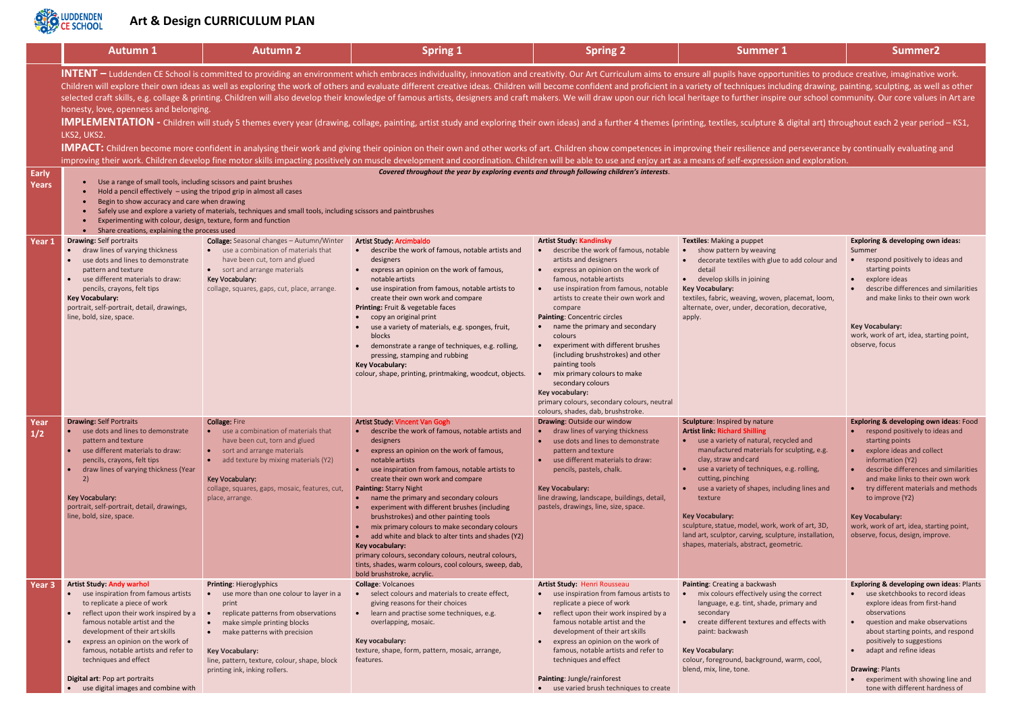

## **Art & Design CURRICULUM PLAN**

|                       | <b>Autumn 1</b>                                                                                                                                                                                                                                                                                                                                                                                                                                                                                                                                                                                                                                                                                                                                                                                                                                                                                                                                                                                                                                                                                                                                                                                                                                                                                                                                                                                                                                                                                                                                                                                                                                                                                                                                                                                                                                                                                                                       | <b>Autumn 2</b>                                                                                                                                                                                                                                                                                                  | <b>Spring 1</b>                                                                                                                                                                                                                                                                                                                                                                                                                                                                                                                                                                                                                                                                                        | <b>Spring 2</b>                                                                                                                                                                                                                                                                                                                                                                                                                                                                                                                                                                                            | <b>Summer 1</b>                                                                                                                                                                                                                                                                                                                                                                                                                                                                                              | Summer <sub>2</sub>                                                                                                                                                                                                                                                                                                                                                                                       |  |
|-----------------------|---------------------------------------------------------------------------------------------------------------------------------------------------------------------------------------------------------------------------------------------------------------------------------------------------------------------------------------------------------------------------------------------------------------------------------------------------------------------------------------------------------------------------------------------------------------------------------------------------------------------------------------------------------------------------------------------------------------------------------------------------------------------------------------------------------------------------------------------------------------------------------------------------------------------------------------------------------------------------------------------------------------------------------------------------------------------------------------------------------------------------------------------------------------------------------------------------------------------------------------------------------------------------------------------------------------------------------------------------------------------------------------------------------------------------------------------------------------------------------------------------------------------------------------------------------------------------------------------------------------------------------------------------------------------------------------------------------------------------------------------------------------------------------------------------------------------------------------------------------------------------------------------------------------------------------------|------------------------------------------------------------------------------------------------------------------------------------------------------------------------------------------------------------------------------------------------------------------------------------------------------------------|--------------------------------------------------------------------------------------------------------------------------------------------------------------------------------------------------------------------------------------------------------------------------------------------------------------------------------------------------------------------------------------------------------------------------------------------------------------------------------------------------------------------------------------------------------------------------------------------------------------------------------------------------------------------------------------------------------|------------------------------------------------------------------------------------------------------------------------------------------------------------------------------------------------------------------------------------------------------------------------------------------------------------------------------------------------------------------------------------------------------------------------------------------------------------------------------------------------------------------------------------------------------------------------------------------------------------|--------------------------------------------------------------------------------------------------------------------------------------------------------------------------------------------------------------------------------------------------------------------------------------------------------------------------------------------------------------------------------------------------------------------------------------------------------------------------------------------------------------|-----------------------------------------------------------------------------------------------------------------------------------------------------------------------------------------------------------------------------------------------------------------------------------------------------------------------------------------------------------------------------------------------------------|--|
| <b>Early</b><br>Years | INTENT - Luddenden CE School is committed to providing an environment which embraces individuality, innovation and creativity. Our Art Curriculum aims to ensure all pupils have opportunities to produce creative, imaginativ<br>Children will explore their own ideas as well as exploring the work of others and evaluate different creative ideas. Children will become confident and proficient in a variety of techniques including drawing, painting, scu<br>selected craft skills, e.g. collage & printing. Children will also develop their knowledge of famous artists, designers and craft makers. We will draw upon our rich local heritage to further inspire our school community. O<br>honesty, love, openness and belonging.<br>IMPLEMENTATION - Children will study 5 themes every year (drawing, collage, painting, artist study and exploring their own ideas) and a further 4 themes (printing, textiles, sculpture & digital art) throughout each 2 year<br>LKS2, UKS2.<br><b>IMPACT:</b> Children become more confident in analysing their work and giving their opinion on their own and other works of art. Children show competences in improving their resilience and perseverance by continually evaluat<br>improving their work. Children develop fine motor skills impacting positively on muscle development and coordination. Children will be able to use and enjoy art as a means of self-expression and exploration.<br>Covered throughout the year by exploring events and through following children's interests.<br>Use a range of small tools, including scissors and paint brushes<br>Hold a pencil effectively - using the tripod grip in almost all cases<br>Begin to show accuracy and care when drawing<br>Safely use and explore a variety of materials, techniques and small tools, including scissors and paintbrushes<br>Experimenting with colour, design, texture, form and function |                                                                                                                                                                                                                                                                                                                  |                                                                                                                                                                                                                                                                                                                                                                                                                                                                                                                                                                                                                                                                                                        |                                                                                                                                                                                                                                                                                                                                                                                                                                                                                                                                                                                                            |                                                                                                                                                                                                                                                                                                                                                                                                                                                                                                              |                                                                                                                                                                                                                                                                                                                                                                                                           |  |
| Year 1                | • Share creations, explaining the process used<br><b>Drawing: Self portraits</b><br>draw lines of varying thickness<br>use dots and lines to demonstrate<br>pattern and texture<br>• use different materials to draw:<br>pencils, crayons, felt tips<br><b>Key Vocabulary:</b><br>portrait, self-portrait, detail, drawings,<br>line, bold, size, space.                                                                                                                                                                                                                                                                                                                                                                                                                                                                                                                                                                                                                                                                                                                                                                                                                                                                                                                                                                                                                                                                                                                                                                                                                                                                                                                                                                                                                                                                                                                                                                              | <b>Collage:</b> Seasonal changes - Autumn/Winter<br>• use a combination of materials that<br>have been cut, torn and glued<br>• sort and arrange materials<br>Key Vocabulary:<br>collage, squares, gaps, cut, place, arrange.                                                                                    | Artist Study: Arcimbaldo<br>• describe the work of famous, notable artists and<br>designers<br>express an opinion on the work of famous,<br>notable artists<br>use inspiration from famous, notable artists to<br>create their own work and compare<br>Printing: Fruit & vegetable faces<br>copy an original print<br>use a variety of materials, e.g. sponges, fruit,<br>blocks<br>demonstrate a range of techniques, e.g. rolling,<br>pressing, stamping and rubbing<br><b>Key Vocabulary:</b><br>colour, shape, printing, printmaking, woodcut, objects.                                                                                                                                            | <b>Artist Study: Kandinsky</b><br>• describe the work of famous, notable<br>artists and designers<br>• express an opinion on the work of<br>famous, notable artists<br>• use inspiration from famous, notable<br>artists to create their own work and<br>compare<br>Painting: Concentric circles<br>• name the primary and secondary<br>colours<br>• experiment with different brushes<br>(including brushstrokes) and other<br>painting tools<br>mix primary colours to make<br>secondary colours<br>Key vocabulary:<br>primary colours, secondary colours, neutral<br>colours, shades, dab, brushstroke. | Textiles: Making a puppet<br>show pattern by weaving<br>decorate textiles with glue to add colour and<br>detail<br>develop skills in joining<br><b>Key Vocabulary:</b><br>textiles, fabric, weaving, woven, placemat, loom,<br>alternate, over, under, decoration, decorative,<br>apply.                                                                                                                                                                                                                     | <b>Exploring &amp; developing own ideas:</b><br>Summer<br>respond positively to ideas and<br>starting points<br>explore ideas<br>describe differences and similarities<br>and make links to their own work<br><b>Key Vocabulary:</b><br>work, work of art, idea, starting point,<br>observe, focus                                                                                                        |  |
| Year<br>1/2           | <b>Drawing: Self Portraits</b><br>use dots and lines to demonstrate<br>pattern and texture<br>use different materials to draw:<br>pencils, crayons, felt tips<br>draw lines of varying thickness (Year<br>Key Vocabulary:<br>portrait, self-portrait, detail, drawings,<br>line, bold, size, space.                                                                                                                                                                                                                                                                                                                                                                                                                                                                                                                                                                                                                                                                                                                                                                                                                                                                                                                                                                                                                                                                                                                                                                                                                                                                                                                                                                                                                                                                                                                                                                                                                                   | <b>Collage: Fire</b><br>use a combination of materials that<br>have been cut, torn and glued<br>sort and arrange materials<br>add texture by mixing materials (Y2)<br>Key Vocabulary:<br>collage, squares, gaps, mosaic, features, cut,<br>place, arrange.                                                       | Artist Study: Vincent Van Gogh<br>describe the work of famous, notable artists and<br>designers<br>express an opinion on the work of famous,<br>notable artists<br>use inspiration from famous, notable artists to<br>create their own work and compare<br><b>Painting: Starry Night</b><br>name the primary and secondary colours<br>experiment with different brushes (including<br>brushstrokes) and other painting tools<br>mix primary colours to make secondary colours<br>add white and black to alter tints and shades (Y2)<br>Key vocabulary:<br>primary colours, secondary colours, neutral colours,<br>tints, shades, warm colours, cool colours, sweep, dab,<br>bold brushstroke, acrylic. | <b>Drawing: Outside our window</b><br>draw lines of varying thickness<br>use dots and lines to demonstrate<br>pattern and texture<br>use different materials to draw:<br>$\bullet$<br>pencils, pastels, chalk.<br><b>Key Vocabulary:</b><br>line drawing, landscape, buildings, detail,<br>pastels, drawings, line, size, space.                                                                                                                                                                                                                                                                           | <b>Sculpture:</b> Inspired by nature<br><b>Artist link: Richard Shilling</b><br>use a variety of natural, recycled and<br>manufactured materials for sculpting, e.g.<br>clay, straw and card<br>use a variety of techniques, e.g. rolling,<br>cutting, pinching<br>use a variety of shapes, including lines and<br>texture<br><b>Key Vocabulary:</b><br>sculpture, statue, model, work, work of art, 3D,<br>land art, sculptor, carving, sculpture, installation,<br>shapes, materials, abstract, geometric. | <b>Exploring &amp; developing own ideas: Food</b><br>respond positively to ideas and<br>starting points<br>explore ideas and collect<br>information (Y2)<br>describe differences and similarities<br>and make links to their own work<br>try different materials and methods<br>to improve (Y2)<br><b>Key Vocabulary:</b><br>work, work of art, idea, starting point,<br>observe, focus, design, improve. |  |
| Year 3                | <b>Artist Study: Andy warhol</b><br>• use inspiration from famous artists<br>to replicate a piece of work<br>reflect upon their work inspired by a<br>$\bullet$<br>famous notable artist and the<br>development of their art skills<br>express an opinion on the work of<br>$\bullet$<br>famous, notable artists and refer to<br>techniques and effect<br>Digital art: Pop art portraits<br>• use digital images and combine with                                                                                                                                                                                                                                                                                                                                                                                                                                                                                                                                                                                                                                                                                                                                                                                                                                                                                                                                                                                                                                                                                                                                                                                                                                                                                                                                                                                                                                                                                                     | <b>Printing: Hieroglyphics</b><br>use more than one colour to layer in a<br>print<br>replicate patterns from observations<br>make simple printing blocks<br>$\bullet$<br>make patterns with precision<br><b>Key Vocabulary:</b><br>line, pattern, texture, colour, shape, block<br>printing ink, inking rollers. | <b>Collage: Volcanoes</b><br>select colours and materials to create effect,<br>giving reasons for their choices<br>• learn and practise some techniques, e.g.<br>overlapping, mosaic.<br>Key vocabulary:<br>texture, shape, form, pattern, mosaic, arrange,<br>features.                                                                                                                                                                                                                                                                                                                                                                                                                               | <b>Artist Study: Henri Rousseau</b><br>• use inspiration from famous artists to<br>replicate a piece of work<br>• reflect upon their work inspired by a<br>famous notable artist and the<br>development of their art skills<br>express an opinion on the work of<br>famous, notable artists and refer to<br>techniques and effect<br>Painting: Jungle/rainforest<br>• use varied brush techniques to create                                                                                                                                                                                                | Painting: Creating a backwash<br>mix colours effectively using the correct<br>language, e.g. tint, shade, primary and<br>secondary<br>create different textures and effects with<br>paint: backwash<br><b>Key Vocabulary:</b><br>colour, foreground, background, warm, cool,<br>blend, mix, line, tone.                                                                                                                                                                                                      | Exploring & developing own ideas: Plan<br>use sketchbooks to record ideas<br>explore ideas from first-hand<br>observations<br>question and make observations<br>about starting points, and respond<br>positively to suggestions<br>adapt and refine ideas<br><b>Drawing: Plants</b><br>• experiment with showing line and<br>tone with different hardness of                                              |  |

| ner 1                                                                                                                                                                                                                                                                                                                    | Summer <sub>2</sub>                                                                                                                                                                                                                                                                                                                                                                            |  |  |  |  |
|--------------------------------------------------------------------------------------------------------------------------------------------------------------------------------------------------------------------------------------------------------------------------------------------------------------------------|------------------------------------------------------------------------------------------------------------------------------------------------------------------------------------------------------------------------------------------------------------------------------------------------------------------------------------------------------------------------------------------------|--|--|--|--|
| pportunities to produce creative, imaginative work.<br>s including drawing, painting, sculpting, as well as other<br>inspire our school community. Our core values in Art are<br>ure & digital art) throughout each 2 year period - KS1,<br>ce and perseverance by continually evaluating and<br>ession and exploration. |                                                                                                                                                                                                                                                                                                                                                                                                |  |  |  |  |
| ving<br>h glue to add colour and<br>ng<br>voven, placemat, loom,<br>coration, decorative,                                                                                                                                                                                                                                | <b>Exploring &amp; developing own ideas:</b><br>Summer<br>respond positively to ideas and<br>starting points<br>explore ideas<br>describe differences and similarities<br>and make links to their own work<br><b>Key Vocabulary:</b><br>work, work of art, idea, starting point,<br>observe, focus                                                                                             |  |  |  |  |
| ure:<br>g<br>ral, recycled and<br>ials for sculpting, e.g.<br>niques, e.g. rolling,<br>es, including lines and<br>vork, work of art, 3D,<br>, sculpture, installation,<br>t, geometric.                                                                                                                                  | Exploring & developing own ideas: Food<br>respond positively to ideas and<br>starting points<br>explore ideas and collect<br>information (Y2)<br>describe differences and similarities<br>and make links to their own work<br>try different materials and methods<br>to improve (Y2)<br><b>Key Vocabulary:</b><br>work, work of art, idea, starting point,<br>observe, focus, design, improve. |  |  |  |  |
| vash<br>ly using the correct<br>ade, primary and<br>ures and effects with<br>round, warm, cool,                                                                                                                                                                                                                          | <b>Exploring &amp; developing own ideas: Plants</b><br>use sketchbooks to record ideas<br>explore ideas from first-hand<br>observations<br>question and make observations<br>about starting points, and respond<br>positively to suggestions<br>adapt and refine ideas<br><b>Drawing: Plants</b><br>experiment with showing line and<br>tone with different hardness of                        |  |  |  |  |